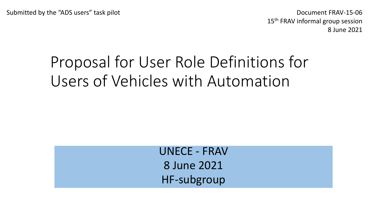Document FRAV-15-06 15<sup>th</sup> FRAV informal group session 8 June 2021

# Proposal for User Role Definitions for Users of Vehicles with Automation

UNECE - FRAV 8 June 2021 HF-subgroup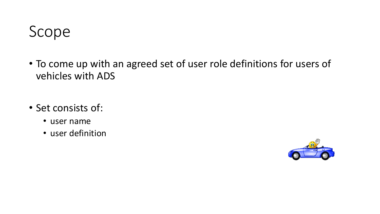

- To come up with an agreed set of user role definitions for users of vehicles with ADS
- Set consists of:
	- user name
	- user definition

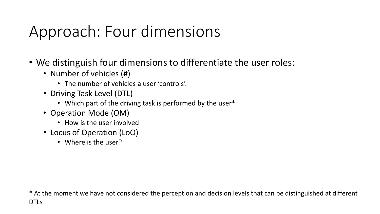# Approach: Four dimensions

- We distinguish four dimensions to differentiate the user roles:
	- Number of vehicles (#)
		- The number of vehicles a user 'controls'.
	- Driving Task Level (DTL)
		- Which part of the driving task is performed by the user\*
	- Operation Mode (OM)
		- How is the user involved
	- Locus of Operation (LoO)
		- Where is the user?

\* At the moment we have not considered the perception and decision levels that can be distinguished at different DTLs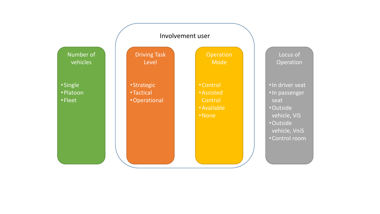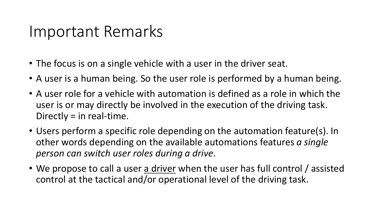#### Important Remarks

- The focus is on a single vehicle with a user in the driver seat.
- A user is a human being. So the user role is performed by a human being.
- A user role for a vehicle with automation is defined as a role in which the user is or may directly be involved in the execution of the driving task. Directly = in real-time.
- Users perform a specific role depending on the automation feature(s). In other words depending on the available automations features *a single person can switch user roles during a drive*.
- We propose to call a user a driver when the user has full control / assisted control at the tactical and/or operational level of the driving task.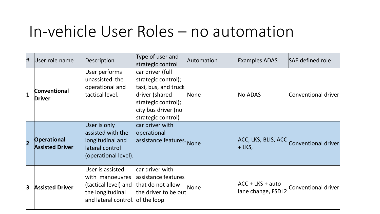### In-vehicle User Roles – no automation

| #                       | User role name                               | Description                                                                                                         | Type of user and<br>strategic control                                                                                                                 | Automation | <b>Examples ADAS</b>                     | SAE defined role    |
|-------------------------|----------------------------------------------|---------------------------------------------------------------------------------------------------------------------|-------------------------------------------------------------------------------------------------------------------------------------------------------|------------|------------------------------------------|---------------------|
| $\overline{\mathbf{1}}$ | Conventional<br><b>Driver</b>                | User performs<br>unassisted the<br>operational and<br>tactical level.                                               | car driver (full<br>strategic control);<br>taxi, bus, and truck<br>driver (shared<br>strategic control);<br>city bus driver (no<br>strategic control) | None       | No ADAS                                  | Conventional driver |
| $\overline{\mathbf{2}}$ | <b>Operational</b><br><b>Assisted Driver</b> | User is only<br>assisted with the<br>longitudinal and<br>lateral control<br>(operational level).                    | car driver with<br>operational<br>assistance features. None                                                                                           |            | ACC, LKS, BLIS, ACC<br>$+$ LKS,          | Conventional driver |
| 3                       | <b>Assisted Driver</b>                       | User is assisted<br>with manoeuvres<br>(tactical level) and<br>the longitudinal<br>and lateral control. of the loop | car driver with<br>assistance features<br>that do not allow<br>the driver to be out                                                                   | None       | $ACC + LKS + auto$<br>lane change, FSDL2 | Conventional driver |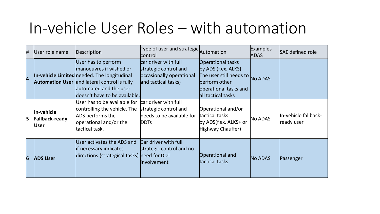## In-vehicle User Roles – with automation

| # | User role name                                     | Description                                                                                                                                                                                              | Type of user and strategic Automation<br>control                                                 |                                                                                                                                             | <b>Examples</b><br><b>ADAS</b> | SAE defined role                   |
|---|----------------------------------------------------|----------------------------------------------------------------------------------------------------------------------------------------------------------------------------------------------------------|--------------------------------------------------------------------------------------------------|---------------------------------------------------------------------------------------------------------------------------------------------|--------------------------------|------------------------------------|
| 4 |                                                    | User has to perform<br>manoeuvres if wished or<br>In-vehicle Limited needed. The longitudinal<br>Automation User and lateral control is fully<br>automated and the user<br>doesn't have to be available. | car driver with full<br>strategic control and<br>occasionally operational<br>and tactical tasks) | <b>Operational tasks</b><br>by ADS (f.ex. ALKS).<br>The user still needs to<br>perform other<br>operational tasks and<br>all tactical tasks | <b>No ADAS</b>                 |                                    |
| 5 | In-vehicle<br><b>Fallback-ready</b><br><b>User</b> | User has to be available for<br>controlling the vehicle. The<br>ADS performs the<br>operational and/or the<br>tactical task.                                                                             | car driver with full<br>strategic control and<br>heeds to be available for<br><b>DDTs</b>        | Operational and/or<br>tactical tasks<br>by ADS(f.ex. ALKS+ or<br>Highway Chauffer)                                                          | No ADAS                        | In-vehicle fallback-<br>ready user |
| 6 | <b>ADS User</b>                                    | User activates the ADS and<br><b>if necessary indicates</b><br>directions. (strategical tasks)                                                                                                           | Car driver with full<br>strategic control and no<br>heed for DDT<br>involvement                  | Operational and<br>tactical tasks                                                                                                           | <b>No ADAS</b>                 | Passenger                          |